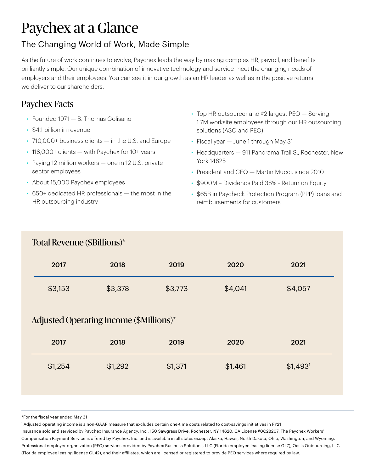# Paychex at a Glance

### The Changing World of Work, Made Simple

As the future of work continues to evolve, Paychex leads the way by making complex HR, payroll, and benefits brilliantly simple. Our unique combination of innovative technology and service meet the changing needs of employers and their employees. You can see it in our growth as an HR leader as well as in the positive returns we deliver to our shareholders.

# Paychex Facts

- Founded 1971 B. Thomas Golisano
- \$4.1 billion in revenue
- 710,000+ business clients in the U.S. and Europe
- 118,000+ clients with Paychex for 10+ years
- Paying 12 million workers one in 12 U.S. private sector employees
- About 15,000 Paychex employees
- 650+ dedicated HR professionals the most in the HR outsourcing industry
- Top HR outsourcer and #2 largest PEO Serving 1.7M worksite employees through our HR outsourcing solutions (ASO and PEO)
- Fiscal year June 1 through May 31
- Headquarters 911 Panorama Trail S., Rochester, New York 14625
- President and CEO Martin Mucci, since 2010
- \$900M Dividends Paid 38% Return on Equity
- \$65B in Paycheck Protection Program (PPP) loans and reimbursements for customers

#### Total Revenue (\$Billions)\*

| 2017    | 2018    | 2019    | 2020    | 2021    |  |
|---------|---------|---------|---------|---------|--|
| \$3,153 | \$3,378 | \$3,773 | \$4,041 | \$4,057 |  |

#### Adjusted Operating Income (\$Millions)\*

| 2017    | 2018    | 2019    | 2020    | 2021                  |  |
|---------|---------|---------|---------|-----------------------|--|
| \$1,254 | \$1,292 | \$1,371 | \$1,461 | $$1,493$ <sup>1</sup> |  |

\*For the fiscal year ended May 31

1 Adjusted operating income is a non-GAAP measure that excludes certain one-time costs related to cost-savings initiatives in FY21

Insurance sold and serviced by Paychex Insurance Agency, Inc., 150 Sawgrass Drive, Rochester, NY 14620. CA License #0C28207. The Paychex Workers' Compensation Payment Service is offered by Paychex, Inc. and is available in all states except Alaska, Hawaii, North Dakota, Ohio, Washington, and Wyoming. Professional employer organization (PEO) services provided by Paychex Business Solutions, LLC (Florida employee leasing license GL7), Oasis Outsourcing, LLC (Florida employee leasing license GL42), and their affiliates, which are licensed or registered to provide PEO services where required by law.